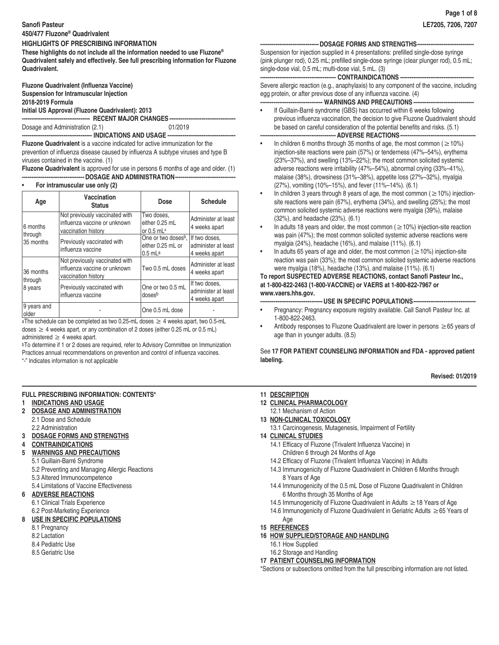# **Sanofi Pasteur**

# **HIGHLIGHTS OF PRESCRIBING INFORMATION**

**These highlights do not include all the information needed to use Fluzone® Quadrivalent safely and effectively. See full prescribing information for Fluzone Quadrivalent.**

**Fluzone Quadrivalent (Influenza Vaccine) Suspension for Intramuscular Injection 2018-2019 Formula Initial US Approval (Fluzone Quadrivalent): 2013**

**------------------------------------ RECENT MAJOR CHANGES -----------------------------------**

Dosage and Administration (2.1) 01/2019

**------------------------------------- INDICATIONS AND USAGE ------------------------------------**

**Fluzone Quadrivalent** is a vaccine indicated for active immunization for the prevention of influenza disease caused by influenza A subtype viruses and type B viruses contained in the vaccine. (1)

**Fluzone Quadrivalent** is approved for use in persons 6 months of age and older. (1) **---------------------------------DOSAGE AND ADMINISTRATION--------------------------------**

# • **For intramuscular use only (2)**

| Age                  | Vaccination<br><b>Status</b>                                                          | <b>Dose</b>                                                       | <b>Schedule</b>                                       |
|----------------------|---------------------------------------------------------------------------------------|-------------------------------------------------------------------|-------------------------------------------------------|
| 6 months             | Not previously vaccinated with<br>influenza vaccine or unknown<br>vaccination history | Two doses,<br>either 0.25 mL<br>or $0.5$ mL <sup>a</sup>          | Administer at least<br>4 weeks apart                  |
| through<br>35 months | Previously vaccinated with<br>influenza vaccine                                       | One or two doses <sup>b</sup> ,<br>either 0.25 mL or<br>$0.5$ mLa | If two doses.<br>administer at least<br>4 weeks apart |
| 36 months            | Not previously vaccinated with<br>influenza vaccine or unknown<br>vaccination history | Two 0.5 mL doses                                                  | Administer at least<br>4 weeks apart                  |
| through<br>8 years   | Previously vaccinated with<br>influenza vaccine                                       | One or two 0.5 mL<br>dosesb                                       | If two doses,<br>administer at least<br>4 weeks apart |
| 9 years and<br>older |                                                                                       | One 0.5 mL dose                                                   |                                                       |

aThe schedule can be completed as two 0.25-mL doses  $\geq 4$  weeks apart, two 0.5-mL doses  $\geq$  4 weeks apart, or any combination of 2 doses (either 0.25 mL or 0.5 mL) administered  $\geq$  4 weeks apart.

bTo determine if 1 or 2 doses are required, refer to Advisory Committee on Immunization Practices annual recommendations on prevention and control of influenza vaccines.

"-" Indicates information is not applicable

# **FULL PRESCRIBING INFORMATION: CONTENTS\***

- **1 INDICATIONS AND USAGE**
- **2 DOSAGE AND ADMINISTRATION** 2.1 Dose and Schedule 2.2 Administration
- **3 DOSAGE FORMS AND STRENGTHS**
- **4 CONTRAINDICATIONS**
- **5 WARNINGS AND PRECAUTIONS**
	- 5.1 Guillain-Barré Syndrome

5.2 Preventing and Managing Allergic Reactions

- 5.3 Altered Immunocompetence
- 5.4 Limitations of Vaccine Effectiveness

# **6 ADVERSE REACTIONS**

6.1 Clinical Trials Experience 6.2 Post-Marketing Experience

# **8 USE IN SPECIFIC POPULATIONS**

- 8.1 Pregnancy
- 8.2 Lactation
- 8.4 Pediatric Use
- 8.5 Geriatric Use

# **-------------------------------DOSAGE FORMS AND STRENGTHS------------------------------**

Suspension for injection supplied in 4 presentations: prefilled single-dose syringe (pink plunger rod), 0.25 mL; prefilled single-dose syringe (clear plunger rod), 0.5 mL; single-dose vial, 0.5 mL; multi-dose vial, 5 mL. (3)

# **---------------------------------------- CONTRAINDICATIONS ---------------------------------------**

Severe allergic reaction (e.g., anaphylaxis) to any component of the vaccine, including egg protein, or after previous dose of any influenza vaccine. (4) **--------------------------------- WARNINGS AND PRECAUTIONS --------------------------------**

• If Guillain-Barré syndrome (GBS) has occurred within 6 weeks following previous influenza vaccination, the decision to give Fluzone Quadrivalent should be based on careful consideration of the potential benefits and risks. (5.1)

# **---------------------------------------- ADVERSE REACTIONS----------------------------------------**

- In children 6 months through 35 months of age, the most common ( $\geq$  10%) injection-site reactions were pain (57%) or tenderness (47%–54%), erythema (23%–37%), and swelling (13%–22%); the most common solicited systemic adverse reactions were irritability (47%–54%), abnormal crying (33%–41%), malaise (38%), drowsiness (31%–38%), appetite loss (27%–32%), myalgia (27%), vomiting (10%–15%), and fever (11%–14%). (6.1)
- In children 3 years through 8 years of age, the most common ( $\geq$  10%) injectionsite reactions were pain (67%), erythema (34%), and swelling (25%); the most common solicited systemic adverse reactions were myalgia (39%), malaise (32%), and headache (23%). (6.1)
- In adults 18 years and older, the most common ( $\geq$  10%) injection-site reaction was pain (47%); the most common solicited systemic adverse reactions were myalgia (24%), headache (16%), and malaise (11%). (6.1)
- In adults 65 years of age and older, the most common ( $\geq$  10%) injection-site reaction was pain (33%); the most common solicited systemic adverse reactions were myalgia (18%), headache (13%), and malaise (11%). (6.1)

# **To report SUSPECTED ADVERSE REACTIONS, contact Sanofi Pasteur Inc., at 1-800-822-2463 (1-800-VACCINE) or VAERS at 1-800-822-7967 or www.vaers.hhs.gov.**

**---------------------------------USE IN SPECIFIC POPULATIONS---------------------------------**

- Pregnancy: Pregnancy exposure registry available. Call Sanofi Pasteur Inc. at 1-800-822-2463.
- Antibody responses to Fluzone Quadrivalent are lower in persons ≥65 years of age than in younger adults. (8.5)

# See **17 FOR PATIENT COUNSELING INFORMATION and FDA - approved patient labeling.**

# **Revised: 01/2019**

- **11 DESCRIPTION**
- **12 CLINICAL PHARMACOLOGY**
- 12.1 Mechanism of Action
- **13 NON-CLINICAL TOXICOLOGY** 13.1 Carcinogenesis, Mutagenesis, Impairment of Fertility
- **14 CLINICAL STUDIES**
	- 14.1 Efficacy of Fluzone (Trivalent Influenza Vaccine) in Children 6 through 24 Months of Age
	- 14.2 Efficacy of Fluzone (Trivalent Influenza Vaccine) in Adults
	- 14.3 Immunogenicity of Fluzone Quadrivalent in Children 6 Months through 8 Years of Age
	- 14.4 Immunogenicity of the 0.5 mL Dose of Fluzone Quadrivalent in Children 6 Months through 35 Months of Age
	- 14.5 Immunogenicity of Fluzone Quadrivalent in Adults ≥18 Years of Age
	- 14.6 Immunogenicity of Fluzone Quadrivalent in Geriatric Adults ≥65 Years of Age
- **15 REFERENCES**
- **16 HOW SUPPLIED/STORAGE AND HANDLING**
	- 16.1 How Supplied
	- 16.2 Storage and Handling
- **17 PATIENT COUNSELING INFORMATION**

\*Sections or subsections omitted from the full prescribing information are not listed.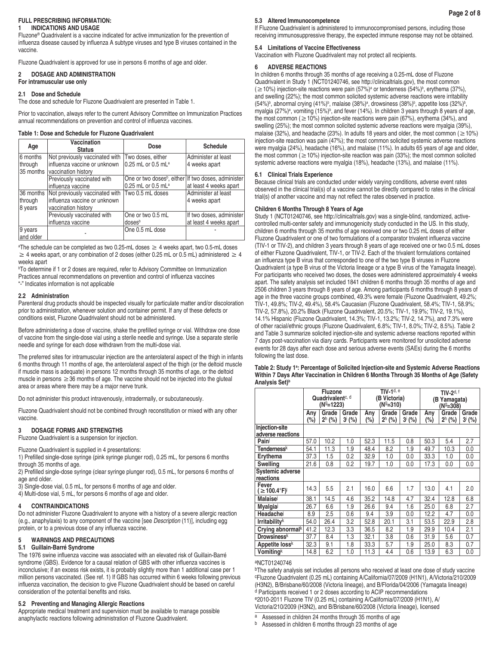## **FULL PRESCRIBING INFORMATION: 1 INDICATIONS AND USAGE**

Fluzone® Quadrivalent is a vaccine indicated for active immunization for the prevention of influenza disease caused by influenza A subtype viruses and type B viruses contained in the vaccine.

Fluzone Quadrivalent is approved for use in persons 6 months of age and older.

# **2 DOSAGE AND ADMINISTRATION**

**For intramuscular use only**

## **2.1 Dose and Schedule**

The dose and schedule for Fluzone Quadrivalent are presented in Table 1.

Prior to vaccination, always refer to the current Advisory Committee on Immunization Practices annual recommendations on prevention and control of influenza vaccines.

#### **Table 1: Dose and Schedule for Fluzone Quadrivalent**

| Age       | Vaccination<br><b>Status</b>               | Dose                                                            | <b>Schedule</b>          |
|-----------|--------------------------------------------|-----------------------------------------------------------------|--------------------------|
| 6 months  | Not previously vaccinated with             | Two doses, either                                               | Administer at least      |
| through   | influenza vaccine or unknown               | 0.25 mL or 0.5 mL <sup>a</sup>                                  | 4 weeks apart            |
|           | 35 months vaccination history              |                                                                 |                          |
|           | Previously vaccinated with                 | One or two doses <sup>b</sup> , either If two doses, administer |                          |
|           | influenza vaccine                          | 0.25 mL or 0.5 mLa                                              | at least 4 weeks apart   |
|           | 36 months   Not previously vaccinated with | Two 0.5 mL doses                                                | Administer at least      |
| through   | influenza vaccine or unknown               |                                                                 | 4 weeks apart            |
| 8 years   | vaccination history                        |                                                                 |                          |
|           | Previously vaccinated with                 | One or two 0.5 mL                                               | If two doses, administer |
|           | influenza vaccine                          | doses <sup>b</sup>                                              | at least 4 weeks apart   |
| 9 years   |                                            | One 0.5 mL dose                                                 |                          |
| and older |                                            |                                                                 |                          |

a The schedule can be completed as two 0.25-mL doses ≥ 4 weeks apart, two 0.5-mL doses  $\geq 4$  weeks apart, or any combination of 2 doses (either 0.25 mL or 0.5 mL) administered  $\geq 4$ weeks apart

<sup>b</sup>To determine if 1 or 2 doses are required, refer to Advisory Committee on Immunization Practices annual recommendations on prevention and control of influenza vaccines "-" Indicates information is not applicable

## **2.2 Administration**

Parenteral drug products should be inspected visually for particulate matter and/or discoloration prior to administration, whenever solution and container permit. If any of these defects or conditions exist, Fluzone Quadrivalent should not be administered.

Before administering a dose of vaccine, shake the prefilled syringe or vial. Withdraw one dose of vaccine from the single-dose vial using a sterile needle and syringe. Use a separate sterile needle and syringe for each dose withdrawn from the multi-dose vial.

The preferred sites for intramuscular injection are the anterolateral aspect of the thigh in infants 6 months through 11 months of age, the anterolateral aspect of the thigh (or the deltoid muscle if muscle mass is adequate) in persons 12 months through 35 months of age, or the deltoid muscle in persons  $\geq$  36 months of age. The vaccine should not be injected into the gluteal area or areas where there may be a major nerve trunk.

Do not administer this product intravenously, intradermally, or subcutaneously.

Fluzone Quadrivalent should not be combined through reconstitution or mixed with any other vaccine.

# **3 DOSAGE FORMS AND STRENGTHS**

Fluzone Quadrivalent is a suspension for injection.

Fluzone Quadrivalent is supplied in 4 presentations:

1) Prefilled single-dose syringe (pink syringe plunger rod), 0.25 mL, for persons 6 months through 35 months of age.

2) Prefilled single-dose syringe (clear syringe plunger rod), 0.5 mL, for persons 6 months of age and older.

3) Single-dose vial, 0.5 mL, for persons 6 months of age and older.

4) Multi-dose vial, 5 mL, for persons 6 months of age and older.

# **4 CONTRAINDICATIONS**

Do not administer Fluzone Quadrivalent to anyone with a history of a severe allergic reaction (e.g., anaphylaxis) to any component of the vaccine [see *Description* (11)], including egg protein, or to a previous dose of any influenza vaccine.

## **5 WARNINGS AND PRECAUTIONS**

## **5.1 Guillain-Barré Syndrome**

The 1976 swine influenza vaccine was associated with an elevated risk of Guillain-Barré syndrome (GBS). Evidence for a causal relation of GBS with other influenza vaccines is inconclusive; if an excess risk exists, it is probably slightly more than 1 additional case per 1 million persons vaccinated. (See ref. 1) If GBS has occurred within 6 weeks following previous influenza vaccination, the decision to give Fluzone Quadrivalent should be based on careful consideration of the potential benefits and risks.

## **5.2 Preventing and Managing Allergic Reactions**

Appropriate medical treatment and supervision must be available to manage possible anaphylactic reactions following administration of Fluzone Quadrivalent.

#### **5.3 Altered Immunocompetence**

If Fluzone Quadrivalent is administered to immunocompromised persons, including those receiving immunosuppressive therapy, the expected immune response may not be obtained.

#### **5.4 Limitations of Vaccine Effectiveness**

Vaccination with Fluzone Quadrivalent may not protect all recipients.

## **6 ADVERSE REACTIONS**

In children 6 months through 35 months of age receiving a 0.25-mL dose of Fluzone Quadrivalent in Study 1 (NCT01240746, see http://clinicaltrials.gov), the most common  $(\geq 10\%)$  injection-site reactions were pain (57%)<sup>a</sup> or tenderness (54%)<sup>b</sup>, erythema (37%), and swelling (22%); the most common solicited systemic adverse reactions were irritability  $(54\%)^b$ , abnormal crying  $(41\%)^b$ , malaise  $(38\%)^a$ , drowsiness  $(38\%)^b$ , appetite loss  $(32\%)^b$ , myalgia (27%)<sup>a</sup>, vomiting (15%)<sup>b</sup>, and fever (14%). In children 3 years through 8 years of age, the most common ( $\geq$  10%) injection-site reactions were pain (67%), erythema (34%), and swelling (25%); the most common solicited systemic adverse reactions were myalgia (39%), malaise (32%), and headache (23%). In adults 18 years and older, the most common ( $\geq 10\%$ ) injection-site reaction was pain (47%); the most common solicited systemic adverse reactions were myalgia (24%), headache (16%), and malaise (11%). In adults 65 years of age and older, the most common ( $\geq$  10%) injection-site reaction was pain (33%); the most common solicited systemic adverse reactions were myalgia (18%), headache (13%), and malaise (11%).

## **6.1 Clinical Trials Experience**

Because clinical trials are conducted under widely varying conditions, adverse event rates observed in the clinical trial(s) of a vaccine cannot be directly compared to rates in the clinical trial(s) of another vaccine and may not reflect the rates observed in practice.

# **Children 6 Months Through 8 Years of Age**

Study 1 (NCT01240746, see http://clinicaltrials.gov) was a single-blind, randomized, activecontrolled multi-center safety and immunogenicity study conducted in the US. In this study, children 6 months through 35 months of age received one or two 0.25 mL doses of either Fluzone Quadrivalent or one of two formulations of a comparator trivalent influenza vaccine (TIV-1 or TIV-2), and children 3 years through 8 years of age received one or two 0.5 mL doses of either Fluzone Quadrivalent, TIV-1, or TIV-2. Each of the trivalent formulations contained an influenza type B virus that corresponded to one of the two type B viruses in Fluzone Quadrivalent (a type B virus of the Victoria lineage or a type B virus of the Yamagata lineage). For participants who received two doses, the doses were administered approximately 4 weeks apart. The safety analysis set included 1841 children 6 months through 35 months of age and 2506 children 3 years through 8 years of age. Among participants 6 months through 8 years of age in the three vaccine groups combined, 49.3% were female (Fluzone Quadrivalent, 49.2%; TIV-1, 49.8%; TIV-2, 49.4%), 58.4% Caucasian (Fluzone Quadrivalent, 58.4%; TIV-1, 58.9%; TIV-2, 57.8%), 20.2% Black (Fluzone Quadrivalent, 20.5%; TIV-1, 19.9%; TIV-2, 19.1%), 14.1% Hispanic (Fluzone Quadrivalent, 14.3%; TIV-1, 13.2%; TIV-2, 14.7%), and 7.3% were of other racial/ethnic groups (Fluzone Quadrivalent, 6.8%; TIV-1, 8.0%; TIV-2, 8.5%). Table 2 and Table 3 summarize solicited injection-site and systemic adverse reactions reported within 7 days post-vaccination via diary cards. Participants were monitored for unsolicited adverse events for 28 days after each dose and serious adverse events (SAEs) during the 6 months following the last dose.

#### **Table 2: Study 1<sup>a</sup> : Percentage of Solicited Injection-site and Systemic Adverse Reactions Within 7 Days After Vaccination in Children 6 Months Through 35 Months of Age (Safety**  Analysis Set)<sup>b</sup>

|                                          | Fluzone<br>Quadrivalent <sup>c, d</sup><br>(Nº=1223) |                   |                      | TIV- $1d, e$<br>(B Victoria)<br>$(N^{9}=310)$ |                   |                      | TIV-2d, f<br>(B Yamaqata)<br>(Nº=308) |                   |                      |
|------------------------------------------|------------------------------------------------------|-------------------|----------------------|-----------------------------------------------|-------------------|----------------------|---------------------------------------|-------------------|----------------------|
|                                          | Any<br>(%)                                           | Grade<br>$2h$ (%) | Grade<br>$3^{i}$ (%) | Any<br>(%)                                    | Grade<br>$2h$ (%) | Grade<br>$3^{i}$ (%) | Anv<br>$(\%)$                         | Grade<br>$2h$ (%) | Grade<br>$3^{i}$ (%) |
| Injection-site<br>adverse reactions      |                                                      |                   |                      |                                               |                   |                      |                                       |                   |                      |
| Pain                                     | 57.0                                                 | 10.2              | 1.0                  | 52.3                                          | 11.5              | 0.8                  | 50.3                                  | 5.4               | 2.7                  |
| Tenderness <sup>k</sup>                  | 54.1                                                 | 11.3              | 1.9                  | 48.4                                          | 8.2               | 1.9                  | 49.7                                  | 10.3              | 0.0                  |
| Erythema                                 | 37.3                                                 | 1.5               | 0.2                  | 32.9                                          | 1.0               | 0.0                  | 33.3                                  | 1.0               | 0.0                  |
| <b>Swelling</b>                          | 21.6                                                 | 0.8               | 0.2                  | 19.7                                          | 1.0               | 0.0                  | 17.3                                  | 0.0               | 0.0                  |
| <b>Systemic adverse</b><br>reactions     |                                                      |                   |                      |                                               |                   |                      |                                       |                   |                      |
| Fever<br>$( \geq 100.4$ °F) <sup>1</sup> | 14.3                                                 | 5.5               | 2.1                  | 16.0                                          | 6.6               | 1.7                  | 13.0                                  | 4.1               | 2.0                  |
| Malaise                                  | 38.1                                                 | 14.5              | 4.6                  | 35.2                                          | 14.8              | 4.7                  | 32.4                                  | 12.8              | 6.8                  |
| Myalgia                                  | 26.7                                                 | 6.6               | 1.9                  | 26.6                                          | 9.4               | 1.6                  | 25.0                                  | 6.8               | 2.7                  |
| Headache                                 | 8.9                                                  | 2.5               | 0.6                  | 9.4                                           | 3.9               | 0.0                  | 12.2                                  | 4.7               | 0.0                  |
| <b>Irritabilityk</b>                     | 54.0                                                 | 26.4              | 3.2                  | 52.8                                          | 20.1              | 3.1                  | 53.5                                  | 22.9              | 2.8                  |
| Crying abnormalk                         | 41.2                                                 | 12.3              | 3.3                  | 36.5                                          | 8.2               | 1.9                  | 29.9                                  | 10.4              | 2.1                  |
| <b>Drowsinessk</b>                       | 37.7                                                 | 8.4               | 1.3                  | 32.1                                          | 3.8               | 0.6                  | 31.9                                  | 5.6               | 0.7                  |
| Appetite loss <sup>k</sup>               | 32.3                                                 | 9.1               | 1.8                  | 33.3                                          | 5.7               | 1.9                  | 25.0                                  | 8.3               | 0.7                  |
| <b>Vomiting</b> <sup>k</sup>             | 14.8                                                 | 6.2               | 1.0                  | 11.3                                          | 4.4               | 0.6                  | 13.9                                  | 6.3               | 0.0                  |

#### aNCT01240746

**bThe safety analysis set includes all persons who received at least one dose of study vaccine** cFluzone Quadrivalent (0.25 mL) containing A/California/07/2009 (H1N1), A/Victoria/210/2009 (H3N2), B/Brisbane/60/2008 (Victoria lineage), and B/Florida/04/2006 (Yamagata lineage) d Participants received 1 or 2 doses according to ACIP recommendations e2010-2011 Fluzone TIV (0.25 mL) containing A/California/07/2009 (H1N1), A/ Victoria/210/2009 (H3N2), and B/Brisbane/60/2008 (Victoria lineage), licensed

a Assessed in children 24 months through 35 months of age

b Assessed in children 6 months through 23 months of age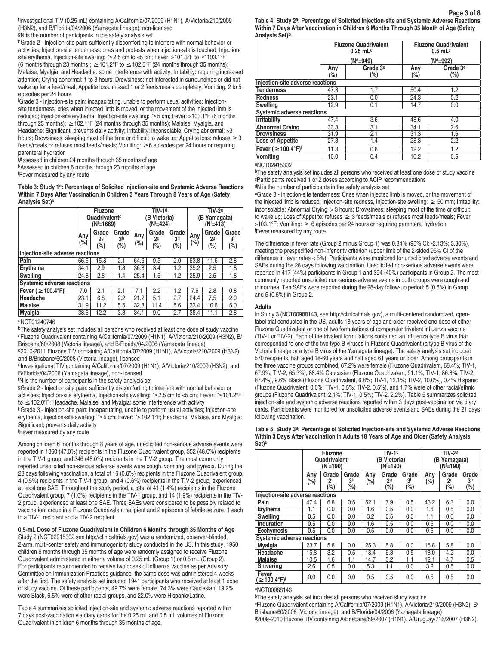f Investigational TIV (0.25 mL) containing A/California/07/2009 (H1N1), A/Victoria/210/2009 (H3N2), and B/Florida/04/2006 (Yamagata lineage), non-licensed gN is the number of participants in the safety analysis set

hGrade 2 - Injection-site pain: sufficiently discomforting to interfere with normal behavior or activities; Injection-site tenderness: cries and protests when injection-site is touched; Injectionsite erythema, Injection-site swelling: ≥2.5 cm to <5 cm; Fever: >101.3°F to ≤103.1°F (6 months through 23 months);  $\geq 101.2^{\circ}$ F to  $\leq 102.0^{\circ}$ F (24 months through 35 months); Malaise, Myalgia, and Headache: some interference with activity; Irritability: requiring increased attention; Crying abnormal: 1 to 3 hours; Drowsiness: not interested in surroundings or did not wake up for a feed/meal; Appetite loss: missed 1 or 2 feeds/meals completely; Vomiting: 2 to 5 episodes per 24 hours

i Grade 3 - Injection-site pain: incapacitating, unable to perform usual activities; Injectionsite tenderness: cries when injected limb is moved, or the movement of the injected limb is reduced; Injection-site erythema, Injection-site swelling: ≥5 cm; Fever: >103.1°F (6 months through 23 months); ≥102.1°F (24 months through 35 months); Malaise, Myalgia, and Headache: Significant; prevents daily activity; Irritability: inconsolable; Crying abnormal: >3 hours; Drowsiness: sleeping most of the time or difficult to wake up; Appetite loss: refuses  $\geq$  3 feeds/meals or refuses most feeds/meals; Vomiting:  $\geq 6$  episodes per 24 hours or requiring parenteral hydration

j Assessed in children 24 months through 35 months of age kAssessed in children 6 months through 23 months of age

l Fever measured by any route

**Table 3: Study 1a: Percentage of Solicited Injection-site and Systemic Adverse Reactions Within 7 Days After Vaccination in Children 3 Years Through 8 Years of Age (Safety Analysis Set)b**

|                                      |            | <b>Fluzone</b><br>Quadrivalent <sup>c</sup><br>$(N = 1669)$ |                                   |            | TIV-1 <sup>d</sup><br><b>B Victoria)</b><br>(N'=424) |                                |               | $TIV-2e$<br>(B Yamagata)<br>$(N^{\dagger} = 413)$ |                                    |  |
|--------------------------------------|------------|-------------------------------------------------------------|-----------------------------------|------------|------------------------------------------------------|--------------------------------|---------------|---------------------------------------------------|------------------------------------|--|
|                                      | Anv<br>(%) | Grade<br>29<br>(%)                                          | Grade<br>3 <sup>h</sup><br>$(\%)$ | Any<br>(%) | Grade<br>29<br>$(\% )$                               | Grade<br>3 <sup>h</sup><br>(%) | Anv<br>$(\%)$ | Grade<br>29<br>$(\%)$                             | Grade<br>3 <sup>h</sup><br>$(\% )$ |  |
| Injection-site adverse reactions     |            |                                                             |                                   |            |                                                      |                                |               |                                                   |                                    |  |
| Pain                                 | 66.6       | 15.8                                                        | 2.1                               | 64.6       | 9.5                                                  | 2.0                            | 63.8          | 11.6                                              | 2.8                                |  |
| Erythema                             | 34.1       | 2.9                                                         | 1.8                               | 36.8       | 3.4                                                  | 1.2                            | 35.2          | 2.5                                               | 1.8                                |  |
| <b>Swelling</b>                      | 24.8       | 2.8                                                         | 1.4                               | 25.4       | 1.5                                                  | 1.2                            | 25.9          | 2.5                                               | 1.8                                |  |
| <b>Systemic adverse reactions</b>    |            |                                                             |                                   |            |                                                      |                                |               |                                                   |                                    |  |
| Fever ( $\geq$ 100.4°F) <sup>i</sup> | 7.0        | 2.1                                                         | 2.1                               | 7.1        | 2.2                                                  | 1.2                            | 7.6           | 2.8                                               | 0.8                                |  |
| Headache                             | 23.1       | 6.8                                                         | 2.2                               | 21.2       | 5.1                                                  | 2.7                            | 24.4          | 7.5                                               | 2.0                                |  |
| <b>Malaise</b>                       | 31.9       | 11.2                                                        | 5.5                               | 32.8       | 11.4                                                 | 5.6                            | 33.4          | 10.8                                              | 5.0                                |  |
| Myalgia                              | 38.6       | 12.2                                                        | 3.3                               | 34.1       | 9.0                                                  | 2.7                            | 38.4          | 11.1                                              | 2.8                                |  |
| 0.10701010710                        |            |                                                             |                                   |            |                                                      |                                |               |                                                   |                                    |  |

aNCT01240746

bThe safety analysis set includes all persons who received at least one dose of study vaccine cFluzone Quadrivalent containing A/California/07/2009 (H1N1), A/Victoria/210/2009 (H3N2), B/ Brisbane/60/2008 (Victoria lineage), and B/Florida/04/2006 (Yamagata lineage)

d2010-2011 Fluzone TIV containing A/California/07/2009 (H1N1), A/Victoria/210/2009 (H3N2), and B/Brisbane/60/2008 (Victoria lineage), licensed

eInvestigational TIV containing A/California/07/2009 (H1N1), A/Victoria/210/2009 (H3N2), and B/Florida/04/2006 (Yamagata lineage), non-licensed

f N is the number of participants in the safety analysis set

9Grade 2 - Injection-site pain: sufficiently discomforting to interfere with normal behavior or activities; Injection-site erythema, Injection-site swelling: ≥2.5 cm to <5 cm; Fever: ≥101.2°F to ≤102.0°F; Headache, Malaise, and Myalgia: some interference with activity

hGrade 3 - Injection-site pain: incapacitating, unable to perform usual activities; Injection-site erythema, Injection-site swelling: ≥5 cm; Fever: ≥102.1°F; Headache, Malaise, and Myalgia: Significant; prevents daily activity

i Fever measured by any route

Among children 6 months through 8 years of age, unsolicited non-serious adverse events were reported in 1360 (47.0%) recipients in the Fluzone Quadrivalent group, 352 (48.0%) recipients in the TIV-1 group, and 346 (48.0%) recipients in the TIV-2 group. The most commonly reported unsolicited non-serious adverse events were cough, vomiting, and pyrexia. During the 28 days following vaccination, a total of 16 (0.6%) recipients in the Fluzone Quadrivalent group, 4 (0.5%) recipients in the TIV-1 group, and 4 (0.6%) recipients in the TIV-2 group, experienced at least one SAE. Throughout the study period, a total of 41 (1.4%) recipients in the Fluzone Quadrivalent group, 7 (1.0%) recipients in the TIV-1 group, and 14 (1.9%) recipients in the TIV-2 group, experienced at least one SAE. Three SAEs were considered to be possibly related to vaccination: croup in a Fluzone Quadrivalent recipient and 2 episodes of febrile seizure, 1 each in a TIV-1 recipient and a TIV-2 recipient.

# **0.5-mL Dose of Fluzone Quadrivalent in Children 6 Months through 35 Months of Age**

Study 2 (NCT02915302 see http://clinicaltrials.gov) was a randomized, observer-blinded, 2-arm, multi-center safety and immunogenicity study conducted in the US. In this study, 1950 children 6 months through 35 months of age were randomly assigned to receive Fluzone Quadrivalent administered in either a volume of 0.25 mL (Group 1) or 0.5 mL (Group 2). For participants recommended to receive two doses of influenza vaccine as per Advisory Committee on Immunization Practices guidance, the same dose was administered 4 weeks after the first. The safety analysis set included 1941 participants who received at least 1 dose of study vaccine. Of these participants, 49.7% were female, 74.3% were Caucasian, 19.2% were Black, 6.5% were of other racial groups, and 22.0% were Hispanic/Latino.

Table 4 summarizes solicited injection-site and systemic adverse reactions reported within 7 days post-vaccination via diary cards for the 0.25 mL and 0.5 mL volumes of Fluzone Quadrivalent in children 6 months through 35 months of age.

**Table 4: Study 2a: Percentage of Solicited Injection-site and Systemic Adverse Reactions Within 7 Days After Vaccination in Children 6 Months Through 35 Month of Age (Safety Analysis Set)b**

|                                      |            | <b>Fluzone Quadrivalent</b><br>$0.25$ mL <sup>c</sup> | <b>Fluzone Quadrivalent</b><br>$0.5$ mL <sup>c</sup> |                      |  |  |  |  |  |
|--------------------------------------|------------|-------------------------------------------------------|------------------------------------------------------|----------------------|--|--|--|--|--|
|                                      |            | $(Nd=949)$                                            | $(Nd=992)$                                           |                      |  |  |  |  |  |
|                                      | Anv<br>(%) | Grade 3 <sup>e</sup><br>(%)                           | Any<br>$(\%)$                                        | Grade $3e$<br>$(\%)$ |  |  |  |  |  |
| Injection-site adverse reactions     |            |                                                       |                                                      |                      |  |  |  |  |  |
| <b>Tenderness</b>                    | 47.3       | 1.7                                                   | 50.4                                                 | 1.2                  |  |  |  |  |  |
| <b>Redness</b>                       | 23.1       | 0.0                                                   | 24.3                                                 | 0.2                  |  |  |  |  |  |
| <b>Swelling</b>                      | 12.9       | 0.1                                                   | 14.7                                                 | 0.0                  |  |  |  |  |  |
| <b>Systemic adverse reactions</b>    |            |                                                       |                                                      |                      |  |  |  |  |  |
| <b>Irritability</b>                  | 47.4       | 3.6                                                   | 48.6                                                 | 4.0                  |  |  |  |  |  |
| <b>Abnormal Crying</b>               | 33.3       | 3.1                                                   | 34.1                                                 | 2.6                  |  |  |  |  |  |
| <b>Drowsiness</b>                    | 31.9       | 2.1                                                   | 31.3                                                 | 1.6                  |  |  |  |  |  |
| <b>Loss of Appetite</b>              | 27.3       | 1.4                                                   | 28.3                                                 | 2.2                  |  |  |  |  |  |
| Fever ( $\geq$ 100.4°F) <sup>f</sup> | 11.3       | 0.6                                                   | 12.2                                                 | 1.2                  |  |  |  |  |  |
| Vomitina                             | 10.0       | 0.4                                                   | 10.2                                                 | 0.5                  |  |  |  |  |  |

aNCT02915302

bThe safety analysis set includes all persons who received at least one dose of study vaccine cParticipants received 1 or 2 doses according to ACIP recommendations

dN is the number of participants in the safety analysis set

eGrade 3 - Injection-site tenderness: Cries when injected limb is moved, or the movement of the injected limb is reduced; Injection-site redness, Injection-site swelling:  $\geq$  50 mm; Irritability: inconsolable; Abnormal Crying: > 3 hours; Drowsiness: sleeping most of the time or difficult to wake up; Loss of Appetite: refuses  $\geq 3$  feeds/meals or refuses most feeds/meals; Fever: >103.1°F; Vomiting: ≥ 6 episodes per 24 hours or requiring parenteral hydration f Fever measured by any route

The difference in fever rate (Group 2 minus Group 1) was 0.84% (95% CI: -2.13%; 3.80%), meeting the prespecified non-inferiority criterion (upper limit of the 2-sided 95% CI of the difference in fever rates < 5%). Participants were monitored for unsolicited adverse events and SAEs during the 28 days following vaccination. Unsolicited non-serious adverse events were reported in 417 (44%) participants in Group 1 and 394 (40%) participants in Group 2. The most commonly reported unsolicited non-serious adverse events in both groups were cough and rhinorrhea. Ten SAEs were reported during the 28-day follow-up period: 5 (0.5%) in Group 1 and 5 (0.5%) in Group 2.

## **Adults**

In Study 3 (NCT00988143, see http://clinicaltrials.gov), a multi-centered randomized, openlabel trial conducted in the US, adults 18 years of age and older received one dose of either Fluzone Quadrivalent or one of two formulations of comparator trivalent influenza vaccine (TIV-1 or TIV-2). Each of the trivalent formulations contained an influenza type B virus that corresponded to one of the two type B viruses in Fluzone Quadrivalent (a type B virus of the Victoria lineage or a type B virus of the Yamagata lineage). The safety analysis set included 570 recipients, half aged 18-60 years and half aged 61 years or older. Among participants in the three vaccine groups combined, 67.2% were female (Fluzone Quadrivalent, 68.4%; TIV-1, 67.9%; TIV-2, 65.3%), 88.4% Caucasian (Fluzone Quadrivalent, 91.1%; TIV-1, 86.8%; TIV-2, 87.4%), 9.6% Black (Fluzone Quadrivalent, 6.8%; TIV-1, 12.1%; TIV-2, 10.0%), 0.4% Hispanic (Fluzone Quadrivalent, 0.0%; TIV-1, 0.5%; TIV-2, 0.5%), and 1.7% were of other racial/ethnic groups (Fluzone Quadrivalent, 2.1%; TIV-1, 0.5%; TIV-2, 2.2%). Table 5 summarizes solicited injection-site and systemic adverse reactions reported within 3 days post-vaccination via diary cards. Participants were monitored for unsolicited adverse events and SAEs during the 21 days following vaccination.

**Table 5: Study 3a: Percentage of Solicited Injection-site and Systemic Adverse Reactions Within 3 Days After Vaccination in Adults 18 Years of Age and Older (Safety Analysis Set)b**

|                                   | <b>Fluzone</b><br>Quadrivalent <sup>c</sup><br>$(N^{\dagger}=190)$ |                    |                                   | $TIV-1d$<br>(B Victoria)<br>$(N^f=190)$ |                                |                                | $TIV-2e$<br>(B Yamagata)<br>$(N^{f}=190)$ |                    |                    |
|-----------------------------------|--------------------------------------------------------------------|--------------------|-----------------------------------|-----------------------------------------|--------------------------------|--------------------------------|-------------------------------------------|--------------------|--------------------|
|                                   | Anv<br>(%)                                                         | Grade<br>29<br>(%) | Grade<br>3 <sup>h</sup><br>$(\%)$ | Any<br>$(\% )$                          | Grade<br>2 <sub>9</sub><br>(%) | Grade<br>3 <sup>h</sup><br>(%) | Anv<br>$(\% )$                            | Grade<br>29<br>(%) | Grade<br>3h<br>(%) |
| Injection-site adverse reactions  |                                                                    |                    |                                   |                                         |                                |                                |                                           |                    |                    |
| Pain                              | 47.4                                                               | 6.8                | 0.5                               | 52.1                                    | 7.9                            | 0.5                            | 43.2                                      | 6.3                | 0.0                |
| Erythema                          | 1.1                                                                | 0.0                | 0.0                               | 1.6                                     | 0.5                            | 0.0                            | 1.6                                       | 0.5                | 0.0                |
| <b>Swelling</b>                   | 0.5                                                                | 0.0                | 0.0                               | 3.2                                     | 0.5                            | 0.0                            | 1.1                                       | 0.0                | 0.0                |
| Induration                        | 0.5                                                                | 0.0                | 0.0                               | 1.6                                     | 0.5                            | 0.0                            | 0.5                                       | 0.0                | 0.0                |
| <b>Ecchymosis</b>                 | 0.5                                                                | 0.0                | 0.0                               | 0.5                                     | 0.0                            | 0.0                            | 0.5                                       | 0.0                | 0.0                |
| <b>Systemic adverse reactions</b> |                                                                    |                    |                                   |                                         |                                |                                |                                           |                    |                    |
| <b>Myalgia</b>                    | 23.7                                                               | 5.8                | 0.0                               | 25.3                                    | 5.8                            | 0.0                            | 16.8                                      | 5.8                | 0.0                |
| Headache                          | 15.8                                                               | 3.2                | 0.5                               | 18.4                                    | 6.3                            | 0.5                            | 18.0                                      | 4.2                | 0.0                |
| <b>Malaise</b>                    | 10.5                                                               | 1.6                | 1.1                               | 14.7                                    | 3.2                            | 1.1                            | 12.1                                      | 4.7                | 0.5                |
| <b>Shivering</b>                  | 2.6                                                                | 0.5                | 0.0                               | 5.3                                     | 1.1                            | 0.0                            | 3.2                                       | 0.5                | 0.0                |
| Fever<br>$(\geq 100.4^{\circ}F)$  | 0.0                                                                | 0.0                | 0.0                               | 0.5                                     | 0.5                            | 0.0                            | 0.5                                       | 0.5                | 0.0                |

aNCT00988143

bThe safety analysis set includes all persons who received study vaccine cFluzone Quadrivalent containing A/California/07/2009 (H1N1), A/Victoria/210/2009 (H3N2), B/ Brisbane/60/2008 (Victoria lineage), and B/Florida/04/2006 (Yamagata lineage) d2009-2010 Fluzone TIV containing A/Brisbane/59/2007 (H1N1), A/Uruguay/716/2007 (H3N2),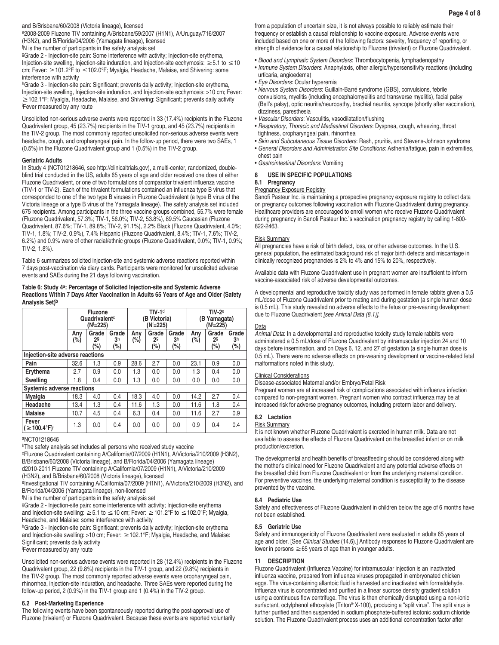# and B/Brisbane/60/2008 (Victoria lineage), licensed

e2008-2009 Fluzone TIV containing A/Brisbane/59/2007 (H1N1), A/Uruguay/716/2007 (H3N2), and B/Florida/04/2006 (Yamagata lineage), licensed

f N is the number of participants in the safety analysis set

gGrade 2 - Injection-site pain: Some interference with activity; Injection-site erythema, Injection-site swelling, Injection-site induration, and Injection-site ecchymosis: ≥5.1 to ≤10 cm; Fever: ≥101.2°F to ≤102.0°F; Myalgia, Headache, Malaise, and Shivering: some interference with activity

hGrade 3 - Injection-site pain: Significant; prevents daily activity; Injection-site erythema, Injection-site swelling, Injection-site induration, and Injection-site ecchymosis: >10 cm; Fever: ≥102.1°F; Myalgia, Headache, Malaise, and Shivering: Significant; prevents daily activity i Fever measured by any route

Unsolicited non-serious adverse events were reported in 33 (17.4%) recipients in the Fluzone Quadrivalent group, 45 (23.7%) recipients in the TIV-1 group, and 45 (23.7%) recipients in the TIV-2 group. The most commonly reported unsolicited non-serious adverse events were headache, cough, and oropharyngeal pain. In the follow-up period, there were two SAEs, 1 (0.5%) in the Fluzone Quadrivalent group and 1 (0.5%) in the TIV-2 group.

# **Geriatric Adults**

In Study 4 (NCT01218646, see http://clinicaltrials.gov), a multi-center, randomized, doubleblind trial conducted in the US, adults 65 years of age and older received one dose of either Fluzone Quadrivalent, or one of two formulations of comparator trivalent influenza vaccine (TIV-1 or TIV-2). Each of the trivalent formulations contained an influenza type B virus that corresponded to one of the two type B viruses in Fluzone Quadrivalent (a type B virus of the Victoria lineage or a type B virus of the Yamagata lineage). The safety analysis set included 675 recipients. Among participants in the three vaccine groups combined, 55.7% were female (Fluzone Quadrivalent, 57.3%; TIV-1, 56.0%; TIV-2, 53.8%), 89.5% Caucasian (Fluzone Quadrivalent, 87.6%; TIV-1, 89.8%; TIV-2, 91.1%), 2.2% Black (Fluzone Quadrivalent, 4.0%; TIV-1, 1.8%; TIV-2, 0.9%), 7.4% Hispanic (Fluzone Quadrivalent, 8.4%; TIV-1, 7.6%; TIV-2, 6.2%) and 0.9% were of other racial/ethnic groups (Fluzone Quadrivalent, 0.0%; TIV-1, 0.9%; TIV-2, 1.8%).

Table 6 summarizes solicited injection-site and systemic adverse reactions reported within 7 days post-vaccination via diary cards. Participants were monitored for unsolicited adverse events and SAEs during the 21 days following vaccination.

## **Table 6: Study 4a: Percentage of Solicited Injection-site and Systemic Adverse Reactions Within 7 Days After Vaccination in Adults 65 Years of Age and Older (Safety Analysis Set)b**

|                                       | <b>Fluzone</b><br>Quadrivalent <sup>c</sup><br>$(N^{f}=225)$ |                                |                                | $TIV-1d$<br>(B Victoria)<br>(Nf=225) |                             |                                | $TIV-2e$<br>(B Yamaqata)<br>(N <sup>f</sup> =225) |                                    |                                |
|---------------------------------------|--------------------------------------------------------------|--------------------------------|--------------------------------|--------------------------------------|-----------------------------|--------------------------------|---------------------------------------------------|------------------------------------|--------------------------------|
|                                       | Anv<br>$(\% )$                                               | Grade<br>2 <sup>9</sup><br>(%) | Grade<br>3 <sup>h</sup><br>(%) | Any<br>$(\%)$                        | Grade<br>$2^{\circ}$<br>(%) | Grade<br>3 <sup>h</sup><br>(%) | Anv<br>(%)                                        | Grade<br>2 <sup>9</sup><br>$(\% )$ | Grade<br>3 <sup>h</sup><br>(%) |
| Injection-site adverse reactions      |                                                              |                                |                                |                                      |                             |                                |                                                   |                                    |                                |
| Pain                                  | 32.6                                                         | 1.3                            | 0.9                            | 28.6                                 | 2.7                         | 0.0                            | 23.1                                              | 0.9                                | 0.0                            |
| Erythema                              | 2.7                                                          | 0.9                            | 0.0                            | 1.3                                  | 0.0                         | 0.0                            | 1.3                                               | 0.4                                | 0.0                            |
| <b>Swelling</b>                       | 1.8                                                          | 0.4                            | 0.0                            | 1.3                                  | 0.0                         | 0.0                            | 0.0                                               | 0.0                                | 0.0                            |
| <b>Systemic adverse reactions</b>     |                                                              |                                |                                |                                      |                             |                                |                                                   |                                    |                                |
| Myalgia                               | 18.3                                                         | 4.0                            | 0.4                            | 18.3                                 | 4.0                         | 0.0                            | 14.2                                              | 2.7                                | 0.4                            |
| Headache                              | 13.4                                                         | 1.3                            | 0.4                            | 11.6                                 | 1.3                         | 0.0                            | 11.6                                              | 1.8                                | 0.4                            |
| <b>Malaise</b>                        | 10.7                                                         | 4.5                            | 0.4                            | 6.3                                  | 0.4                         | 0.0                            | 11.6                                              | 2.7                                | 0.9                            |
| Fever<br>$( \geq 100.4^{\circ}F)^{1}$ | 1.3                                                          | 0.0                            | 0.4                            | 0.0                                  | 0.0                         | 0.0                            | 0.9                                               | 0.4                                | 0.4                            |

## aNCT01218646

bThe safety analysis set includes all persons who received study vaccine

cFluzone Quadrivalent containing A/California/07/2009 (H1N1), A/Victoria/210/2009 (H3N2), B/Brisbane/60/2008 (Victoria lineage), and B/Florida/04/2006 (Yamagata lineage) d2010-2011 Fluzone TIV containing A/California/07/2009 (H1N1), A/Victoria/210/2009

(H3N2), and B/Brisbane/60/2008 (Victoria lineage), licensed

eInvestigational TIV containing A/California/07/2009 (H1N1), A/Victoria/210/2009 (H3N2), and B/Florida/04/2006 (Yamagata lineage), non-licensed

f N is the number of participants in the safety analysis set

gGrade 2 - Injection-site pain: some interference with activity; Injection-site erythema

and Injection-site swelling:  $\geq 5.1$  to  $\leq 10$  cm; Fever:  $\geq 101.2^{\circ}$ F to  $\leq 102.0^{\circ}$ F; Myalgia, Headache, and Malaise: some interference with activity

hGrade 3 - Injection-site pain: Significant; prevents daily activity; Injection-site erythema and Injection-site swelling: >10 cm; Fever: ≥102.1°F; Myalgia, Headache, and Malaise: Significant; prevents daily activity i Fever measured by any route

Unsolicited non-serious adverse events were reported in 28 (12.4%) recipients in the Fluzone Quadrivalent group, 22 (9.8%) recipients in the TIV-1 group, and 22 (9.8%) recipients in the TIV-2 group. The most commonly reported adverse events were oropharyngeal pain, rhinorrhea, injection-site induration, and headache. Three SAEs were reported during the follow-up period, 2 (0.9%) in the TIV-1 group and 1 (0.4%) in the TIV-2 group.

# **6.2 Post-Marketing Experience**

The following events have been spontaneously reported during the post-approval use of Fluzone (trivalent) or Fluzone Quadrivalent. Because these events are reported voluntarily from a population of uncertain size, it is not always possible to reliably estimate their frequency or establish a causal relationship to vaccine exposure. Adverse events were included based on one or more of the following factors: severity, frequency of reporting, or strength of evidence for a causal relationship to Fluzone (trivalent) or Fluzone Quadrivalent.

- *Blood and Lymphatic System Disorders*: Thrombocytopenia, lymphadenopathy
- *Immune System Disorders*: Anaphylaxis, other allergic/hypersensitivity reactions (including urticaria, angioedema)
- *Eye Disorders*: Ocular hyperemia
- *Nervous System Disorders*: Guillain-Barré syndrome (GBS), convulsions, febrile convulsions, myelitis (including encephalomyelitis and transverse myelitis), facial palsy (Bell's palsy), optic neuritis/neuropathy, brachial neuritis, syncope (shortly after vaccination), dizziness, paresthesia
- *Vascular Disorders*: Vasculitis, vasodilatation/flushing
- *Respiratory, Thoracic and Mediastinal Disorders*: Dyspnea, cough, wheezing, throat tightness, oropharyngeal pain, rhinorrhea
- *Skin and Subcutaneous Tissue Disorders*: Rash, pruritis, and Stevens-Johnson syndrome
- *General Disorders and Administration Site Conditions*: Asthenia/fatigue, pain in extremities, chest pain
- *Gastrointestinal Disorders*: Vomiting

# **8 USE IN SPECIFIC POPULATIONS**

# **8.1 Pregnancy**

# **Pregnancy Exposure Registry**

Sanofi Pasteur Inc. is maintaining a prospective pregnancy exposure registry to collect data on pregnancy outcomes following vaccination with Fluzone Quadrivalent during pregnancy. Healthcare providers are encouraged to enroll women who receive Fluzone Quadrivalent during pregnancy in Sanofi Pasteur Inc.'s vaccination pregnancy registry by calling 1-800- 822-2463.

# Risk Summary

All pregnancies have a risk of birth defect, loss, or other adverse outcomes. In the U.S. general population, the estimated background risk of major birth defects and miscarriage in clinically recognized pregnancies is 2% to 4% and 15% to 20%, respectively.

Available data with Fluzone Quadrivalent use in pregnant women are insufficient to inform vaccine-associated risk of adverse developmental outcomes.

A developmental and reproductive toxicity study was performed in female rabbits given a 0.5 mL/dose of Fluzone Quadrivalent prior to mating and during gestation (a single human dose is 0.5 mL). This study revealed no adverse effects to the fetus or pre-weaning development due to Fluzone Quadrivalent *[see Animal Data (8.1)]*.

# Data

*Animal Data*: In a developmental and reproductive toxicity study female rabbits were administered a 0.5 mL/dose of Fluzone Quadrivalent by intramuscular injection 24 and 10 days before insemination, and on Days 6, 12, and 27 of gestation (a single human dose is 0.5 mL). There were no adverse effects on pre-weaning development or vaccine-related fetal malformations noted in this study.

# Clinical Considerations

Disease-associated Maternal and/or Embryo/Fetal Risk

Pregnant women are at increased risk of complications associated with influenza infection compared to non-pregnant women. Pregnant women who contract influenza may be at increased risk for adverse pregnancy outcomes, including preterm labor and delivery.

# **8.2 Lactation**

## Risk Summary

It is not known whether Fluzone Quadrivalent is excreted in human milk. Data are not available to assess the effects of Fluzone Quadrivalent on the breastfed infant or on milk production/excretion.

The developmental and health benefits of breastfeeding should be considered along with the mother's clinical need for Fluzone Quadrivalent and any potential adverse effects on the breastfed child from Fluzone Quadrivalent or from the underlying maternal condition. For preventive vaccines, the underlying maternal condition is susceptibility to the disease prevented by the vaccine.

# **8.4 Pediatric Use**

Safety and effectiveness of Fluzone Quadrivalent in children below the age of 6 months have not been established.

# **8.5 Geriatric Use**

Safety and immunogenicity of Fluzone Quadrivalent were evaluated in adults 65 years of age and older. [See *Clinical Studies* (14.6).] Antibody responses to Fluzone Quadrivalent are lower in persons  $\geq 65$  years of age than in younger adults.

# **11 DESCRIPTION**

Fluzone Quadrivalent (Influenza Vaccine) for intramuscular injection is an inactivated influenza vaccine, prepared from influenza viruses propagated in embryonated chicken eggs. The virus-containing allantoic fluid is harvested and inactivated with formaldehyde. Influenza virus is concentrated and purified in a linear sucrose density gradient solution using a continuous flow centrifuge. The virus is then chemically disrupted using a non-ionic surfactant, octylphenol ethoxylate (Triton® X-100), producing a "split virus". The split virus is further purified and then suspended in sodium phosphate-buffered isotonic sodium chloride solution. The Fluzone Quadrivalent process uses an additional concentration factor after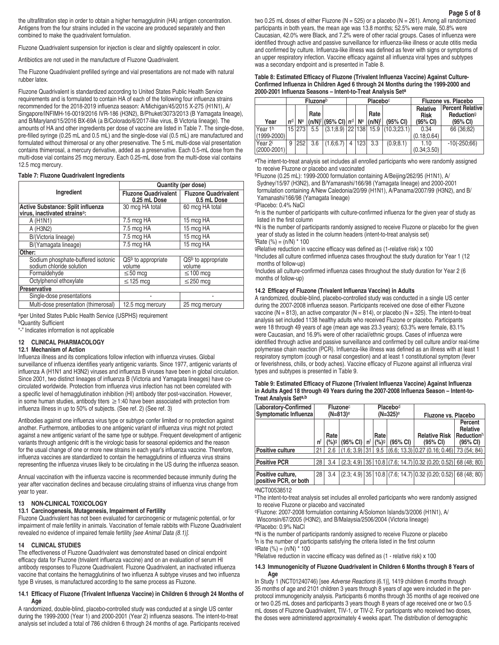the ultrafiltration step in order to obtain a higher hemagglutinin (HA) antigen concentration. Antigens from the four strains included in the vaccine are produced separately and then combined to make the quadrivalent formulation.

Fluzone Quadrivalent suspension for injection is clear and slightly opalescent in color.

Antibiotics are not used in the manufacture of Fluzone Quadrivalent.

The Fluzone Quadrivalent prefilled syringe and vial presentations are not made with natural rubber latex.

Fluzone Quadrivalent is standardized according to United States Public Health Service requirements and is formulated to contain HA of each of the following four influenza strains recommended for the 2018-2019 influenza season: A/Michigan/45/2015 X-275 (H1N1), A/ Singapore/INFIMH-16-0019/2016 IVR-186 (H3N2), B/Phuket/3073/2013 (B Yamagata lineage), and B/Maryland/15/2016 BX-69A (a B/Colorado/6/2017-like virus, B Victoria lineage). The amounts of HA and other ingredients per dose of vaccine are listed in Table 7. The single-dose, pre-filled syringe (0.25 mL and 0.5 mL) and the single-dose vial (0.5 mL) are manufactured and formulated without thimerosal or any other preservative. The 5 mL multi-dose vial presentation contains thimerosal, a mercury derivative, added as a preservative. Each 0.5-mL dose from the multi-dose vial contains 25 mcg mercury. Each 0.25-mL dose from the multi-dose vial contains 12.5 mcg mercury.

#### **Table 7: Fluzone Quadrivalent Ingredients**

|                                                                                       | Quantity (per dose)                         |                                            |  |  |  |  |  |
|---------------------------------------------------------------------------------------|---------------------------------------------|--------------------------------------------|--|--|--|--|--|
| Ingredient                                                                            | <b>Fluzone Quadrivalent</b><br>0.25 mL Dose | <b>Fluzone Quadrivalent</b><br>0.5 mL Dose |  |  |  |  |  |
| <b>Active Substance: Split influenza</b><br>virus, inactivated strains <sup>a</sup> : | 30 mcg HA total                             | 60 mcg HA total                            |  |  |  |  |  |
| A (H <sub>1</sub> N <sub>1</sub> )                                                    | 7.5 mcg HA                                  | 15 mcg HA                                  |  |  |  |  |  |
| A (H3N2)                                                                              | 7.5 mcg HA                                  | 15 mcg HA                                  |  |  |  |  |  |
| B/(Victoria lineage)                                                                  | 7.5 mcg HA                                  | 15 mcg HA                                  |  |  |  |  |  |
| B/(Yamagata lineage)                                                                  | 7.5 mcg HA                                  | 15 mcg HA                                  |  |  |  |  |  |
| Other:                                                                                |                                             |                                            |  |  |  |  |  |
| Sodium phosphate-buffered isotonic<br>sodium chloride solution                        | $QSb$ to appropriate<br>volume              | $QSb$ to appropriate<br>volume             |  |  |  |  |  |
| Formaldehyde                                                                          | $\leq 50$ mcg                               | $\leq$ 100 mcg                             |  |  |  |  |  |
| Octylphenol ethoxylate                                                                | $\leq$ 125 mcg                              | $\leq$ 250 mcg                             |  |  |  |  |  |
| <b>Preservative</b>                                                                   |                                             |                                            |  |  |  |  |  |
| Single-dose presentations                                                             |                                             |                                            |  |  |  |  |  |
| Multi-dose presentation (thimerosal)                                                  | 12.5 mcg mercury                            | 25 mcg mercury                             |  |  |  |  |  |

aper United States Public Health Service (USPHS) requirement **bQuantity Sufficient** 

"-" Indicates information is not applicable

# **12 CLINICAL PHARMACOLOGY**

# **12.1 Mechanism of Action**

Influenza illness and its complications follow infection with influenza viruses. Global surveillance of influenza identifies yearly antigenic variants. Since 1977, antigenic variants of influenza A (H1N1 and H3N2) viruses and influenza B viruses have been in global circulation. Since 2001, two distinct lineages of influenza B (Victoria and Yamagata lineages) have cocirculated worldwide. Protection from influenza virus infection has not been correlated with a specific level of hemagglutination inhibition (HI) antibody titer post-vaccination. However, in some human studies, antibody titers  $\geq$  1:40 have been associated with protection from influenza illness in up to 50% of subjects. (See ref. 2) (See ref. 3)

Antibodies against one influenza virus type or subtype confer limited or no protection against another. Furthermore, antibodies to one antigenic variant of influenza virus might not protect against a new antigenic variant of the same type or subtype. Frequent development of antigenic variants through antigenic drift is the virologic basis for seasonal epidemics and the reason for the usual change of one or more new strains in each year's influenza vaccine. Therefore, influenza vaccines are standardized to contain the hemagglutinins of influenza virus strains representing the influenza viruses likely to be circulating in the US during the influenza season.

Annual vaccination with the influenza vaccine is recommended because immunity during the year after vaccination declines and because circulating strains of influenza virus change from year to year.

## **13 NON-CLINICAL TOXICOLOGY**

## **13.1 Carcinogenesis, Mutagenesis, Impairment of Fertility**

Fluzone Quadrivalent has not been evaluated for carcinogenic or mutagenic potential, or for impairment of male fertility in animals. Vaccination of female rabbits with Fluzone Quadrivalent revealed no evidence of impaired female fertility *[see Animal Data (8.1)]*.

#### **14 CLINICAL STUDIES**

The effectiveness of Fluzone Quadrivalent was demonstrated based on clinical endpoint efficacy data for Fluzone (trivalent influenza vaccine) and on an evaluation of serum HI antibody responses to Fluzone Quadrivalent. Fluzone Quadrivalent, an inactivated influenza vaccine that contains the hemagglutinins of two influenza A subtype viruses and two influenza type B viruses, is manufactured according to the same process as Fluzone.

## **14.1 Efficacy of Fluzone (Trivalent Influenza Vaccine) in Children 6 through 24 Months of Age**

A randomized, double-blind, placebo-controlled study was conducted at a single US center during the 1999-2000 (Year 1) and 2000-2001 (Year 2) influenza seasons. The intent-to-treat analysis set included a total of 786 children 6 through 24 months of age. Participants received two 0.25 mL doses of either Fluzone (N = 525) or a placebo (N = 261). Among all randomized participants in both years, the mean age was 13.8 months; 52.5% were male, 50.8% were Caucasian, 42.0% were Black, and 7.2% were of other racial groups. Cases of influenza were identified through active and passive surveillance for influenza-like illness or acute otitis media and confirmed by culture. Influenza-like illness was defined as fever with signs or symptoms of an upper respiratory infection. Vaccine efficacy against all influenza viral types and subtypes was a secondary endpoint and is presented in Table 8.

## **Table 8: Estimated Efficacy of Fluzone (Trivalent Influenza Vaccine) Against Culture-Confirmed Influenza in Children Aged 6 through 24 Months during the 1999-2000 and 2000-2001 Influenza Seasons – Intent-to-Treat Analysis Seta**

|                              | <b>Fluzone</b> <sup>b</sup> |        |      |                                                               |  |         | <b>Placebo</b> c  |                                                  | Fluzone vs. Placebo                 |                                                                      |  |
|------------------------------|-----------------------------|--------|------|---------------------------------------------------------------|--|---------|-------------------|--------------------------------------------------|-------------------------------------|----------------------------------------------------------------------|--|
| Year                         |                             |        | Rate | $n^d$   N <sup>e</sup> $ (n/N)^f (95\% \text{ Cl}) n^d $   Ne |  |         | Rate<br>$(n/N)^f$ | (95% CI)                                         | Relative<br><b>Risk</b><br>(95% CI) | <b>Percent Relative</b><br><b>Reduction</b> <sup>g</sup><br>(95% CI) |  |
| Year 1h<br>(1999-2000)       |                             | 15 273 |      |                                                               |  |         |                   | $5.5$ $(3.1, 8.9)$ $ 22 138$ 15.9 $(10.3, 23.1)$ | 0.34<br>(0.18; 0.64)                | 66 (36;82)                                                           |  |
| l Year 2i<br>$(2000 - 2001)$ | 9                           | 252    | 3.6  | (1.6:6.7)                                                     |  | 4   123 | 3.3               | (0.9; 8.1)                                       | 1.10<br>(0.34; 3.50)                | $-10(-250,66)$                                                       |  |

aThe intent-to-treat analysis set includes all enrolled participants who were randomly assigned to receive Fluzone or placebo and vaccinated

bFluzone (0.25 mL): 1999-2000 formulation containing A/Beijing/262/95 (H1N1), A/

Sydney/15/97 (H3N2), and B/Yamanashi/166/98 (Yamagata lineage) and 2000-2001 formulation containing A/New Caledonia/20/99 (H1N1), A/Panama/2007/99 (H3N2), and B/ Yamanashi/166/98 (Yamagata lineage)

cPlacebo: 0.4% NaCl

dn is the number of participants with culture-confirmed influenza for the given year of study as listed in the first column

eN is the number of participants randomly assigned to receive Fluzone or placebo for the given year of study as listed in the column headers (intent-to-treat analysis set) f Rate (%) = (n/N) \* 100

gRelative reduction in vaccine efficacy was defined as (1-relative risk) x 100

hIncludes all culture confirmed influenza cases throughout the study duration for Year 1 (12 months of follow-up)

i <sup>i</sup>Includes all culture-confirmed influenza cases throughout the study duration for Year 2 (6 months of follow-up)

#### **14.2 Efficacy of Fluzone (Trivalent Influenza Vaccine) in Adults**

A randomized, double-blind, placebo-controlled study was conducted in a single US center during the 2007-2008 influenza season. Participants received one dose of either Fluzone vaccine (N = 813), an active comparator (N = 814), or placebo (N = 325). The intent-to-treat analysis set included 1138 healthy adults who received Fluzone or placebo. Participants were 18 through 49 years of age (mean age was 23.3 years); 63.3% were female, 83.1% were Caucasian, and 16.9% were of other racial/ethnic groups. Cases of influenza were identified through active and passive surveillance and confirmed by cell culture and/or real-time polymerase chain reaction (PCR). Influenza-like illness was defined as an illness with at least 1 respiratory symptom (cough or nasal congestion) and at least 1 constitutional symptom (fever or feverishness, chills, or body aches). Vaccine efficacy of Fluzone against all influenza viral types and subtypes is presented in Table 9.

| Table 9: Estimated Efficacy of Fluzone (Trivalent Influenza Vaccine) Against Influenza |
|----------------------------------------------------------------------------------------|
| in Adults Aged 18 through 49 Years during the 2007-2008 Influenza Season – Intent-to-  |
| Treat Analvsis Set <sup>a,b</sup>                                                      |

| Laboratory-Confirmed<br>Symptomatic Influenza |    | Fluzone <sup>c</sup><br>$(N=813)$ <sup>e</sup> |                                              |  |              | Placebod<br>(N=325) <sup>e</sup> | Fluzone vs. Placebo                                                                                                |                                                           |  |
|-----------------------------------------------|----|------------------------------------------------|----------------------------------------------|--|--------------|----------------------------------|--------------------------------------------------------------------------------------------------------------------|-----------------------------------------------------------|--|
|                                               | 'n | Rate<br>(%)9                                   | $(95\% \text{ Cl}) \mid \text{n}^{\text{f}}$ |  | Rate<br>(%)9 | (95% CI)                         | <b>Relative Risk</b><br>$(95% \text{ Cl})$                                                                         | Percent<br>Relative<br>Reduction <sup>h</sup><br>(95% CI) |  |
| <b>Positive culture</b>                       | 21 |                                                |                                              |  |              |                                  | 2.6 $ (1.6; 3.9) 31 $ 9.5 $ (6.6; 13.3) 0.27  (0.16; 0.46) $ 73 (54; 84)                                           |                                                           |  |
|                                               |    |                                                |                                              |  |              |                                  |                                                                                                                    |                                                           |  |
| <b>Positive PCR</b>                           |    |                                                |                                              |  |              |                                  | $28 \mid 3.4 \mid (2.3, 4.9) \mid 35 \mid 10.8 \mid (7.6, 14.7) \mid 0.32 \mid (0.20, 0.52) \mid 68 \mid (48, 80)$ |                                                           |  |
|                                               |    |                                                |                                              |  |              |                                  |                                                                                                                    |                                                           |  |
| Positive culture,<br>positive PCR, or both    | 28 | 3.4                                            |                                              |  |              |                                  | $(2.3; 4.9)$ 35 10.8 $(7.6; 14.7)$ 0.32 (0.20; 0.52) 68 (48; 80)                                                   |                                                           |  |

aNCT00538512

<sup>b</sup>The intent-to-treat analysis set includes all enrolled participants who were randomly assigned to receive Fluzone or placebo and vaccinated

cFluzone: 2007-2008 formulation containing A/Solomon Islands/3/2006 (H1N1), A/ Wisconsin/67/2005 (H3N2), and B/Malaysia/2506/2004 (Victoria lineage) dPlacebo: 0.9% NaCl

eN is the number of participants randomly assigned to receive Fluzone or placebo <sup>f</sup>n is the number of participants satisfying the criteria listed in the first column  $9Rate (%) = (n/N) * 100$ 

hRelative reduction in vaccine efficacy was defined as (1 - relative risk) x 100

#### **14.3 Immunogenicity of Fluzone Quadrivalent in Children 6 Months through 8 Years of Age**

In Study 1 (NCT01240746) [see *Adverse Reactions* (6.1)], 1419 children 6 months through 35 months of age and 2101 children 3 years through 8 years of age were included in the perprotocol immunogenicity analysis. Participants 6 months through 35 months of age received one or two 0.25 mL doses and participants 3 years though 8 years of age received one or two 0.5 mL doses of Fluzone Quadrivalent, TIV-1, or TIV-2. For participants who received two doses, the doses were administered approximately 4 weeks apart. The distribution of demographic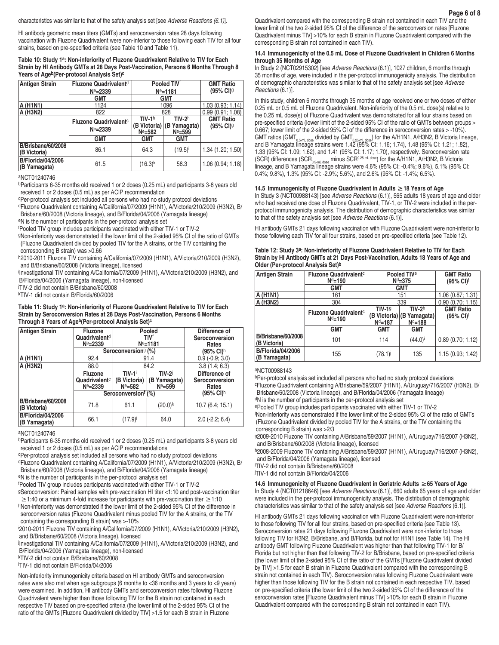characteristics was similar to that of the safety analysis set [see *Adverse Reactions (6.1)*].

HI antibody geometric mean titers (GMTs) and seroconversion rates 28 days following vaccination with Fluzone Quadrivalent were non-inferior to those following each TIV for all four strains, based on pre-specified criteria (see Table 10 and Table 11).

## **Table 10: Study 1a: Non-inferiority of Fluzone Quadrivalent Relative to TIV for Each Strain by HI Antibody GMTs at 28 Days Post-Vaccination, Persons 6 Months Through 8 Years of Ageb(Per-protocol Analysis Set)c**

| <b>Antigen Strain</b>                    | Fluzone Quadrivalent <sup>d</sup>        | Pooled TIVf           |                  | <b>GMT Ratio</b>                |
|------------------------------------------|------------------------------------------|-----------------------|------------------|---------------------------------|
|                                          | $Ne = 2339$                              |                       | $Ne = 1181$      | (95% CI) <sup>g</sup>           |
|                                          | <b>GMT</b>                               | <b>GMT</b>            |                  |                                 |
| A (H1N1)                                 | 1124                                     | 1096                  | 1.03(0.93; 1.14) |                                 |
| A (H3N2)                                 | 822                                      | 828                   | 0.99(0.91; 1.08) |                                 |
|                                          | <b>Fluzone Quadrivalent</b> <sup>c</sup> | $TIV-1h$              | $TIV-2h$         | <b>GMT Ratio</b>                |
|                                          | $Ne = 2339$                              | (B Victoria)          | (B Yamagata)     | $(95% \text{ Cl})$ <sup>g</sup> |
|                                          |                                          | $Ne=582$              | $Ne=599$         |                                 |
|                                          | <b>GMT</b>                               | <b>GMT</b>            | GMT              |                                 |
| B/Brisbane/60/2008<br>(B Victoria)       | 86.1                                     | 64.3                  | $(19.5)^{i}$     | 1.34 (1.20; 1.50)               |
| <b>B/Florida/04/2006</b><br>(B Yamagata) | 61.5                                     | $(16.3)$ <sup>k</sup> | 58.3             | 1.06(0.94; 1.18)                |

aNCT01240746

bParticipants 6-35 months old received 1 or 2 doses (0.25 mL) and participants 3-8 years old received 1 or 2 doses (0.5 mL) as per ACIP recommendation

cPer-protocol analysis set included all persons who had no study protocol deviations

dFluzone Quadrivalent containing A/California/07/2009 (H1N1), A/Victoria/210/2009 (H3N2), B/ Brisbane/60/2008 (Victoria lineage), and B/Florida/04/2006 (Yamagata lineage)

eN is the number of participants in the per-protocol analysis set

f Pooled TIV group includes participants vaccinated with either TIV-1 or TIV-2

gNon-inferiority was demonstrated if the lower limit of the 2-sided 95% CI of the ratio of GMTs (Fluzone Quadrivalent divided by pooled TIV for the A strains, or the TIV containing the corresponding B strain) was >0.66

h2010-2011 Fluzone TIV containing A/California/07/2009 (H1N1), A/Victoria/210/2009 (H3N2), and B/Brisbane/60/2008 (Victoria lineage), licensed

i Investigational TIV containing A/California/07/2009 (H1N1), A/Victoria/210/2009 (H3N2), and B/Florida/04/2006 (Yamagata lineage), non-licensed

j TIV-2 did not contain B/Brisbane/60/2008

kTIV-1 did not contain B/Florida/60/2006

## **Table 11: Study 1a: Non-inferiority of Fluzone Quadrivalent Relative to TIV for Each Strain by Seroconversion Rates at 28 Days Post-Vaccination, Persons 6 Months Through 8 Years of Ageb(Per-protocol Analysis Set)c**

| <b>Antigen Strain</b>                    | <b>Fluzone</b><br>Quadrivalent <sup>d</sup><br>$Ne = 2339$ | Pooled<br>TIVf<br>$Ne = 1181$<br>Seroconversion <sup>g</sup> (%) |                                            | Difference of<br>Seroconversion<br>Rates<br>(95% CI) <sup>h</sup> |
|------------------------------------------|------------------------------------------------------------|------------------------------------------------------------------|--------------------------------------------|-------------------------------------------------------------------|
| A (H1N1)                                 | 92.4                                                       | 91.4                                                             |                                            | $0.9(-0.9; 3.0)$                                                  |
| A (H3N2)                                 | 88.0                                                       | 84.2                                                             |                                            | 3.8(1.4; 6.3)                                                     |
|                                          | <b>Fluzone</b><br>Quadrivalent <sup>c</sup><br>$Ne = 2339$ | $TIV-1$<br>(B Victoria)<br>$Ne = 582$                            | <b>TIV-2</b><br>(B Yamagata)<br>$Ne = 599$ | Difference of<br>Seroconversion<br>Rates<br>(95% CI) <sup>h</sup> |
|                                          | Seroconversionf (%)                                        |                                                                  |                                            |                                                                   |
| B/Brisbane/60/2008<br>(B Victoria)       | 71.8                                                       | 61.1                                                             | $(20.0)^{k}$                               | 10.7(6.4; 15.1)                                                   |
| <b>B/Florida/04/2006</b><br>(B Yamagata) | 66.1                                                       | (17.9)                                                           | 64.0                                       | $2.0$ (-2.2; 6.4)                                                 |

aNCT01240746

bParticipants 6-35 months old received 1 or 2 doses (0.25 mL) and participants 3-8 years old received 1 or 2 doses (0.5 mL) as per ACIP recommendations

cPer-protocol analysis set included all persons who had no study protocol deviations

dFluzone Quadrivalent containing A/California/07/2009 (H1N1), A/Victoria/210/2009 (H3N2), B/ Brisbane/60/2008 (Victoria lineage), and B/Florida/04/2006 (Yamagata lineage)

eN is the number of participants in the per-protocol analysis set

f Pooled TIV group includes participants vaccinated with either TIV-1 or TIV-2

gSeroconversion: Paired samples with pre-vaccination HI titer <1:10 and post-vaccination titer  $≥$ 1:40 or a minimum 4-fold increase for participants with pre-vaccination titer  $≥$ 1:10

hNon-inferiority was demonstrated if the lower limit of the 2-sided 95% CI of the difference in seroconversion rates (Fluzone Quadrivalent minus pooled TIV for the A strains, or the TIV containing the corresponding B strain) was >-10%

i 2010-2011 Fluzone TIV containing A/California/07/2009 (H1N1), A/Victoria/210/2009 (H3N2), and B/Brisbane/60/2008 (Victoria lineage), licensed

j Investigational TIV containing A/California/07/2009 (H1N1), A/Victoria/210/2009 (H3N2), and B/Florida/04/2006 (Yamagata lineage), non-licensed

kTIV-2 did not contain B/Brisbane/60/2008

l TIV-1 did not contain B/Florida/04/2006

Non-inferiority immunogenicity criteria based on HI antibody GMTs and seroconversion rates were also met when age subgroups (6 months to <36 months and 3 years to <9 years) were examined. In addition, HI antibody GMTs and seroconversion rates following Fluzone Quadrivalent were higher than those following TIV for the B strain not contained in each respective TIV based on pre-specified criteria (the lower limit of the 2-sided 95% CI of the ratio of the GMTs [Fluzone Quadrivalent divided by TIV] >1.5 for each B strain in Fluzone

Quadrivalent compared with the corresponding B strain not contained in each TIV and the lower limit of the two 2-sided 95% CI of the difference of the seroconversion rates [Fluzone Quadrivalent minus TIV] >10% for each B strain in Fluzone Quadrivalent compared with the corresponding B strain not contained in each TIV).

# **14.4 Immunogenicity of the 0.5 mL Dose of Fluzone Quadrivalent in Children 6 Months through 35 Months of Age**

In Study 2 (NCT02915302) [see *Adverse Reactions* (6.1)], 1027 children, 6 months through 35 months of age, were included in the per-protocol immunogenicity analysis. The distribution of demographic characteristics was similar to that of the safety analysis set [see *Adverse Reactions* (6.1)].

In this study, children 6 months through 35 months of age received one or two doses of either 0.25 mL or 0.5 mL of Fluzone Quadrivalent. Non-inferiority of the 0.5 mL dose(s) relative to the 0.25 mL dose(s) of Fluzone Quadrivalent was demonstrated for all four strains based on pre-specified criteria (lower limit of the 2-sided 95% CI of the ratio of GMTs between groups > 0.667; lower limit of the 2-sided 95% CI of the difference in seroconversion rates > -10%). GMT ratios (GMT<sub>0.5-mL doss</sub> divided by GMT<sub>0.25-mL doss</sub>) for the A/H1N1, A/H3N2, B Victoria lineage,<br>and B Yamagata lineage strains were 1.42 (95% CI: 1.16; 1.74), 1.48 (95% CI: 1.21; 1.82), 1.33 (95% CI: 1.09; 1.62), and 1.41 (95% CI: 1.17; 1.70), respectively. Seroconversion rate (SCR) differences (SCR<sub>0.5-mLdose</sub> minus SCR<sup>0.25-mLdose</sup>) for the A/H1N1, A/H3N2, B Victoria<br>lineage, and B Yamagata lineage strains were 4.6% (95% CI: -0.4%; 9.6%), 5.1% (95% CI: 0.4%; 9.8%), 1.3% (95% CI: -2.9%; 5.6%), and 2.6% (95% CI: -1.4%; 6.5%).

# **14.5 Immunogenicity of Fluzone Quadrivalent in Adults ≥18 Years of Age**

In Study 3 (NCT00988143) [see *Adverse Reactions* (6.1)], 565 adults 18 years of age and older who had received one dose of Fluzone Quadrivalent, TIV-1, or TIV-2 were included in the perprotocol immunogenicity analysis. The distribution of demographic characteristics was similar to that of the safety analysis set [see *Adverse Reactions* (6.1)].

HI antibody GMTs 21 days following vaccination with Fluzone Quadrivalent were non-inferior to those following each TIV for all four strains, based on pre-specified criteria (see Table 12).

#### **Table 12: Study 3a: Non-inferiority of Fluzone Quadrivalent Relative to TIV for Each Strain by HI Antibody GMTs at 21 Days Post-Vaccination, Adults 18 Years of Age and Older (Per-protocol Analysis Set)b**

| <b>Antigen Strain</b>                    | <b>Fluzone Quadrivalent</b> c<br>$Nd=190$ | Pooled TIV <sup>e</sup><br>$Nd=375$ |                                                   | <b>GMT Ratio</b><br>$(95\% \text{ Cl})^{\dagger}$ |
|------------------------------------------|-------------------------------------------|-------------------------------------|---------------------------------------------------|---------------------------------------------------|
|                                          | <b>GMT</b>                                | <b>GMT</b>                          |                                                   |                                                   |
| A (H1N1)                                 | 161                                       | 151                                 |                                                   | 1.06 (0.87; 1.31)                                 |
| A (H3N2)                                 | 304                                       | 339                                 |                                                   | 0.90(0.70; 1.15)                                  |
|                                          | <b>Fluzone Quadrivalent</b> c<br>$Nd=190$ | <b>TIV-19</b><br>$Nd=187$           | $TIV-2h$<br>(B Victoria) (B Yamagata)<br>$Nd=188$ | <b>GMT Ratio</b><br>$(95\% \text{ Cl})^{\dagger}$ |
|                                          | <b>GMT</b>                                | <b>GMT</b>                          | <b>GMT</b>                                        |                                                   |
| B/Brisbane/60/2008<br>(B Victoria)       | 101                                       | 114                                 | $(44.0)^{i}$                                      | 0.89(0.70; 1.12)                                  |
| <b>B/Florida/04/2006</b><br>(B Yamagata) | 155                                       | (78.1)i                             | 135                                               | 1.15 (0.93; 1.42)                                 |

## aNCT00988143

bPer-protocol analysis set included all persons who had no study protocol deviations cFluzone Quadrivalent containing A/Brisbane/59/2007 (H1N1), A/Uruguay/716/2007 (H3N2), B/ Brisbane/60/2008 (Victoria lineage), and B/Florida/04/2006 (Yamagata lineage) dN is the number of participants in the per-protocol analysis set

ePooled TIV group includes participants vaccinated with either TIV-1 or TIV-2 f Non-inferiority was demonstrated if the lower limit of the 2-sided 95% CI of the ratio of GMTs (Fluzone Quadrivalent divided by pooled TIV for the A strains, or the TIV containing the corresponding B strain) was >2/3

g2009-2010 Fluzone TIV containing A/Brisbane/59/2007 (H1N1), A/Uruguay/716/2007 (H3N2), and B/Brisbane/60/2008 (Victoria lineage), licensed

h2008-2009 Fluzone TIV containing A/Brisbane/59/2007 (H1N1), A/Uruguay/716/2007 (H3N2), and B/Florida/04/2006 (Yamagata lineage), licensed

i TIV-2 did not contain B/Brisbane/60/2008

j TIV-1 did not contain B/Florida/04/2006

**14.6 Immunogenicity of Fluzone Quadrivalent in Geriatric Adults ≥65 Years of Age** In Study 4 (NCT01218646) [see *Adverse Reactions* (6.1)], 660 adults 65 years of age and older were included in the per-protocol immunogenicity analysis. The distribution of demographic characteristics was similar to that of the safety analysis set [see *Adverse Reactions* (6.1)].

HI antibody GMTs 21 days following vaccination with Fluzone Quadrivalent were non-inferior to those following TIV for all four strains, based on pre-specified criteria (see Table 13). Seroconversion rates 21 days following Fluzone Quadrivalent were non-inferior to those following TIV for H3N2, B/Brisbane, and B/Florida, but not for H1N1 (see Table 14). The HI antibody GMT following Fluzone Quadrivalent was higher than that following TIV-1 for B/ Florida but not higher than that following TIV-2 for B/Brisbane, based on pre-specified criteria (the lower limit of the 2-sided 95% CI of the ratio of the GMTs [Fluzone Quadrivalent divided by TIV] >1.5 for each B strain in Fluzone Quadrivalent compared with the corresponding B strain not contained in each TIV). Seroconversion rates following Fluzone Quadrivalent were higher than those following TIV for the B strain not contained in each respective TIV, based on pre-specified criteria (the lower limit of the two 2-sided 95% CI of the difference of the seroconversion rates [Fluzone Quadrivalent minus TIV] >10% for each B strain in Fluzone Quadrivalent compared with the corresponding B strain not contained in each TIV).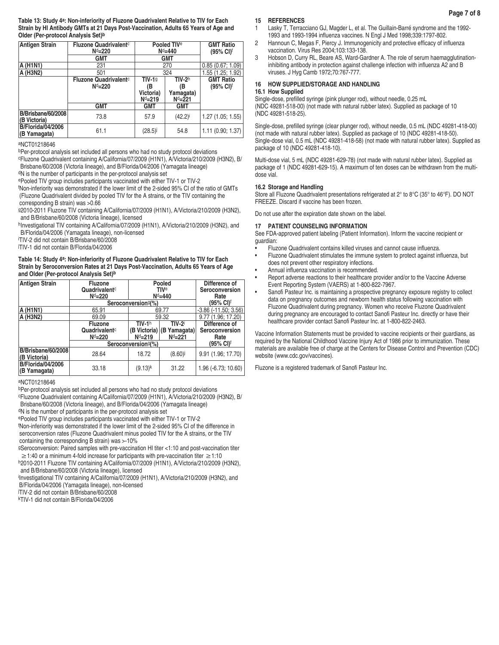**Table 13: Study 4a: Non-inferiority of Fluzone Quadrivalent Relative to TIV for Each Strain by HI Antibody GMTs at 21 Days Post-Vaccination, Adults 65 Years of Age and Older (Per-protocol Analysis Set)b**

| <b>Antigen Strain</b>                    | <b>Fluzone Quadrivalent</b> c<br>$Nd=220$ | Pooled TIV <sup>e</sup><br>$Nd=440$          |                                         | <b>GMT Ratio</b><br>$(95\% \text{ Cl})^{\dagger}$ |
|------------------------------------------|-------------------------------------------|----------------------------------------------|-----------------------------------------|---------------------------------------------------|
|                                          | GMT                                       | <b>GMT</b>                                   |                                         |                                                   |
| A (H1N1)                                 | 231                                       | 270                                          |                                         | 0.85(0.67; 1.09)                                  |
| A (H3N2)                                 | 501                                       | 324                                          |                                         | 1.55 (1.25: 1.92)                                 |
|                                          | <b>Fluzone Quadrivalent</b> c<br>$Nd=220$ | <b>TIV-19</b><br>(B<br>Victoria)<br>$Nd=219$ | $TIV-2h$<br>(B<br>Yamagata)<br>$Nd=221$ | <b>GMT Ratio</b><br>$(95\% \text{ Cl})^{\dagger}$ |
|                                          | <b>GMT</b>                                | <b>GMT</b>                                   | <b>GMT</b>                              |                                                   |
| B/Brisbane/60/2008<br>(B Victoria)       | 73.8                                      | 57.9                                         | $(42.2)^{i}$                            | 1.27 (1.05; 1.55)                                 |
| <b>B/Florida/04/2006</b><br>(B Yamagata) | 61.1                                      | (28.5)                                       | 54.8                                    | 1.11 (0.90; 1.37)                                 |

#### aNCT01218646

bPer-protocol analysis set included all persons who had no study protocol deviations cFluzone Quadrivalent containing A/California/07/2009 (H1N1), A/Victoria/210/2009 (H3N2), B/ Brisbane/60/2008 (Victoria lineage), and B/Florida/04/2006 (Yamagata lineage)

dN is the number of participants in the per-protocol analysis set

ePooled TIV group includes participants vaccinated with either TIV-1 or TIV-2

f Non-inferiority was demonstrated if the lower limit of the 2-sided 95% CI of the ratio of GMTs (Fluzone Quadrivalent divided by pooled TIV for the A strains, or the TIV containing the corresponding B strain) was >0.66

g2010-2011 Fluzone TIV containing A/California/07/2009 (H1N1), A/Victoria/210/2009 (H3N2), and B/Brisbane/60/2008 (Victoria lineage), licensed

hInvestigational TIV containing A/California/07/2009 (H1N1), A/Victoria/210/2009 (H3N2), and B/Florida/04/2006 (Yamagata lineage), non-licensed

i TIV-2 did not contain B/Brisbane/60/2008

j TIV-1 did not contain B/Florida/04/2006

**Table 14: Study 4a: Non-inferiority of Fluzone Quadrivalent Relative to TIV for Each Strain by Seroconversion Rates at 21 Days Post-Vaccination, Adults 65 Years of Age and Older (Per-protocol Analysis Set)b**

| <b>Antigen Strain</b>                     | <b>Fluzone</b><br>Quadrivalentc<br>$Nd=220$             | Pooled<br><b>TIVe</b><br>$Nd=440$    |                                          | Difference of<br>Seroconversion<br>Rate |
|-------------------------------------------|---------------------------------------------------------|--------------------------------------|------------------------------------------|-----------------------------------------|
|                                           |                                                         | Seroconversion <sup>9</sup> (%)      | (95% CI) <sup>f</sup>                    |                                         |
| A (H1N1)                                  | 65.91                                                   |                                      | 69.77                                    | $-3.86(-11.50; 3.56)$                   |
| A (H3N2)                                  | 69.09                                                   |                                      | 59.32                                    | 9.77 (1.96; 17.20)                      |
|                                           | <b>Fluzone</b><br>Quadrivalent <sup>c</sup><br>$Nd=220$ | $TIV-1h$<br>(B Victoria)<br>$Nd=219$ | <b>TIV-2</b><br>(B Yamagata)<br>$Nd=221$ | Difference of<br>Seroconversion<br>Rate |
|                                           | Seroconversion <sup>9</sup> (%)                         |                                      |                                          | (95% CI) <sup>f</sup>                   |
| <b>B/Brisbane/60/2008</b><br>(B Victoria) | 28.64                                                   | 18.72                                | (8.60)                                   | 9.91 (1.96; 17.70)                      |
| <b>B/Florida/04/2006</b><br>(B Yamagata)  | 33.18                                                   | $(9.13)$ <sup>k</sup>                | 31.22                                    | 1.96 (-6.73; 10.60)                     |

#### aNCT01218646

bPer-protocol analysis set included all persons who had no study protocol deviations

cFluzone Quadrivalent containing A/California/07/2009 (H1N1), A/Victoria/210/2009 (H3N2), B/ Brisbane/60/2008 (Victoria lineage), and B/Florida/04/2006 (Yamagata lineage)

<sup>d</sup>N is the number of participants in the per-protocol analysis set

ePooled TIV group includes participants vaccinated with either TIV-1 or TIV-2 f Non-inferiority was demonstrated if the lower limit of the 2-sided 95% CI of the difference in seroconversion rates (Fluzone Quadrivalent minus pooled TIV for the A strains, or the TIV containing the corresponding B strain) was >-10%

9Seroconversion: Paired samples with pre-vaccination HI titer <1:10 and post-vaccination titer  $≥$  1:40 or a minimum 4-fold increase for participants with pre-vaccination titer  $≥$  1:10

h2010-2011 Fluzone TIV containing A/California/07/2009 (H1N1), A/Victoria/210/2009 (H3N2), and B/Brisbane/60/2008 (Victoria lineage), licensed

i <sup>i</sup>lnvestigational TIV containing A/California/07/2009 (H1N1), A/Victoria/210/2009 (H3N2), and B/Florida/04/2006 (Yamagata lineage), non-licensed

j TIV-2 did not contain B/Brisbane/60/2008

kTIV-1 did not contain B/Florida/04/2006

# **15 REFERENCES**

- 1 Lasky T, Terracciano GJ, Magder L, et al. The Guillain-Barré syndrome and the 1992- 1993 and 1993-1994 influenza vaccines. N Engl J Med 1998;339:1797-802.
- 2 Hannoun C, Megas F, Piercy J. Immunogenicity and protective efficacy of influenza vaccination. Virus Res 2004;103:133-138.
- 3 Hobson D, Curry RL, Beare AS, Ward-Gardner A. The role of serum haemagglutinationinhibiting antibody in protection against challenge infection with influenza A2 and B viruses. J Hyg Camb 1972;70:767-777.

# **16 HOW SUPPLIED/STORAGE AND HANDLING**

#### **16.1 How Supplied**

Single-dose, prefilled syringe (pink plunger rod), without needle, 0.25 mL (NDC 49281-518-00) (not made with natural rubber latex). Supplied as package of 10 (NDC 49281-518-25).

Single-dose, prefilled syringe (clear plunger rod), without needle, 0.5 mL (NDC 49281-418-00) (not made with natural rubber latex). Supplied as package of 10 (NDC 49281-418-50). Single-dose vial, 0.5 mL (NDC 49281-418-58) (not made with natural rubber latex). Supplied as package of 10 (NDC 49281-418-10).

Multi-dose vial, 5 mL (NDC 49281-629-78) (not made with natural rubber latex). Supplied as package of 1 (NDC 49281-629-15). A maximum of ten doses can be withdrawn from the multidose vial.

## **16.2 Storage and Handling**

Store all Fluzone Quadrivalent presentations refrigerated at 2° to 8°C (35° to 46°F). DO NOT FREEZE. Discard if vaccine has been frozen.

Do not use after the expiration date shown on the label.

#### **17 PATIENT COUNSELING INFORMATION**

See FDA-approved patient labeling (Patient Information). Inform the vaccine recipient or guardian:

- Fluzone Quadrivalent contains killed viruses and cannot cause influenza.
- Fluzone Quadrivalent stimulates the immune system to protect against influenza, but does not prevent other respiratory infections.
- Annual influenza vaccination is recommended.
- Report adverse reactions to their healthcare provider and/or to the Vaccine Adverse Event Reporting System (VAERS) at 1-800-822-7967.
- Sanofi Pasteur Inc. is maintaining a prospective pregnancy exposure registry to collect data on pregnancy outcomes and newborn health status following vaccination with Fluzone Quadrivalent during pregnancy. Women who receive Fluzone Quadrivalent during pregnancy are encouraged to contact Sanofi Pasteur Inc. directly or have their healthcare provider contact Sanofi Pasteur Inc. at 1-800-822-2463.

Vaccine Information Statements must be provided to vaccine recipients or their guardians, as required by the National Childhood Vaccine Injury Act of 1986 prior to immunization. These materials are available free of charge at the Centers for Disease Control and Prevention (CDC) website (www.cdc.gov/vaccines).

Fluzone is a registered trademark of Sanofi Pasteur Inc.